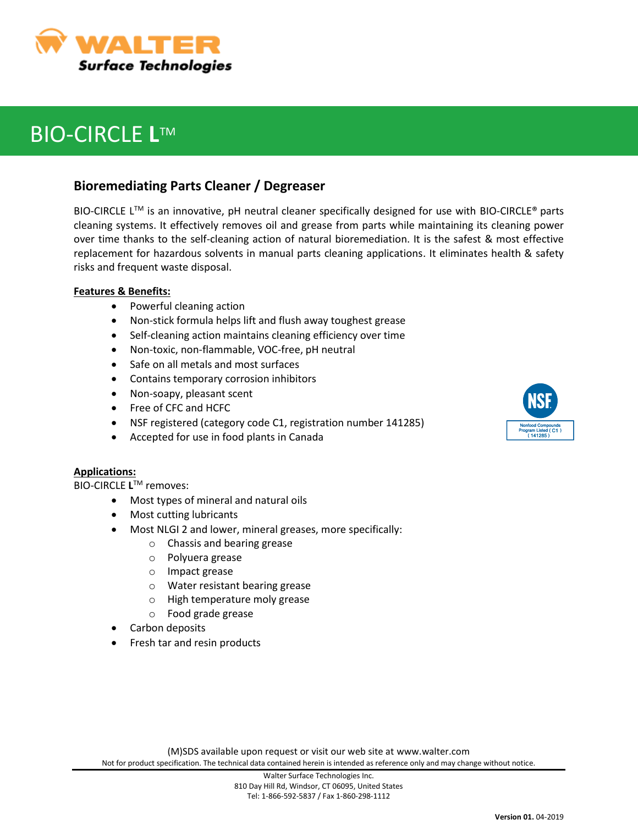

# **BIO-CIRCLE L™**

## **Bioremediating Parts Cleaner / Degreaser**

BIO-CIRCLE L<sup>™</sup> is an innovative, pH neutral cleaner specifically designed for use with BIO-CIRCLE<sup>®</sup> parts cleaning systems. It effectively removes oil and grease from parts while maintaining its cleaning power over time thanks to the self-cleaning action of natural bioremediation. It is the safest & most effective replacement for hazardous solvents in manual parts cleaning applications. It eliminates health & safety risks and frequent waste disposal.

### **Features & Benefits:**

- Powerful cleaning action
- Non-stick formula helps lift and flush away toughest grease
- Self-cleaning action maintains cleaning efficiency over time
- Non-toxic, non-flammable, VOC-free, pH neutral
- Safe on all metals and most surfaces
- Contains temporary corrosion inhibitors
- Non-soapy, pleasant scent
- Free of CFC and HCFC
- NSF registered (category code C1, registration number 141285)
- Accepted for use in food plants in Canada

### **Applications:**

**BIO-CIRCLE L<sup>™</sup> removes:** 

- Most types of mineral and natural oils
- Most cutting lubricants
	- Most NLGI 2 and lower, mineral greases, more specifically:
		- o Chassis and bearing grease
		- o Polyuera grease
		- o Impact grease
		- o Water resistant bearing grease
		- o High temperature moly grease
		- o Food grade grease
- Carbon deposits
- Fresh tar and resin products